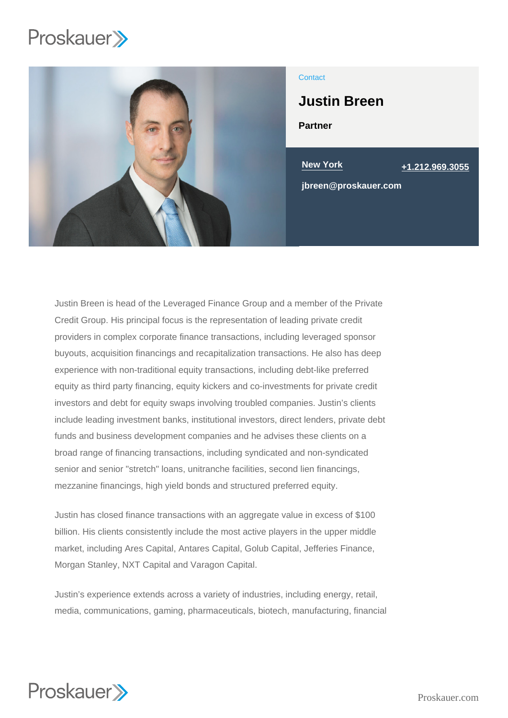

### **Contact**

Justin Breen

Partner

New York [+1.212.969.3055](tel:+1.212.969.3055)

jbreen@proskauer.com

Justin Breen is head of the Leveraged Finance Group and a member of the Private Credit Group. His principal focus is the representation of leading private credit providers in complex corporate finance transactions, including leveraged sponsor buyouts, acquisition financings and recapitalization transactions. He also has deep experience with non-traditional equity transactions, including debt-like preferred equity as third party financing, equity kickers and co-investments for private credit investors and debt for equity swaps involving troubled companies. Justin's clients include leading investment banks, institutional investors, direct lenders, private debt funds and business development companies and he advises these clients on a broad range of financing transactions, including syndicated and non-syndicated senior and senior "stretch" loans, unitranche facilities, second lien financings, mezzanine financings, high yield bonds and structured preferred equity.

Justin has closed finance transactions with an aggregate value in excess of \$100 billion. His clients consistently include the most active players in the upper middle market, including Ares Capital, Antares Capital, Golub Capital, Jefferies Finance, Morgan Stanley, NXT Capital and Varagon Capital.

Justin's experience extends across a variety of industries, including energy, retail, media, communications, gaming, pharmaceuticals, biotech, manufacturing, financial

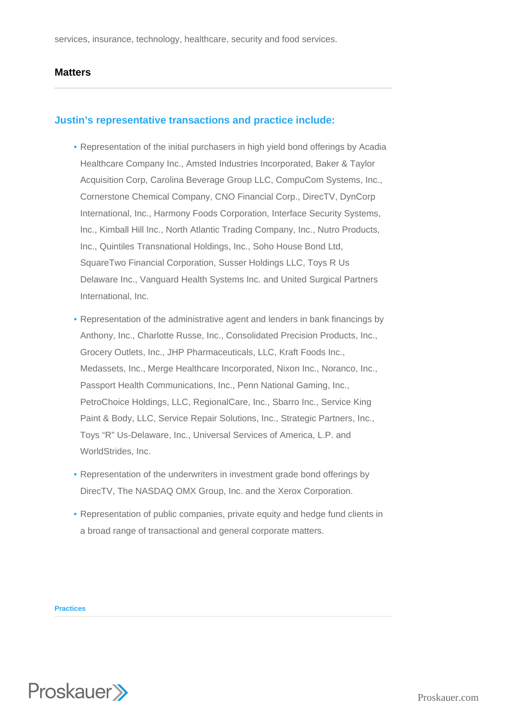services, insurance, technology, healthcare, security and food services.

## **Matters**

# **Justin's representative transactions and practice include:**

- Representation of the initial purchasers in high yield bond offerings by Acadia Healthcare Company Inc., Amsted Industries Incorporated, Baker & Taylor Acquisition Corp, Carolina Beverage Group LLC, CompuCom Systems, Inc., Cornerstone Chemical Company, CNO Financial Corp., DirecTV, DynCorp International, Inc., Harmony Foods Corporation, Interface Security Systems, Inc., Kimball Hill Inc., North Atlantic Trading Company, Inc., Nutro Products, Inc., Quintiles Transnational Holdings, Inc., Soho House Bond Ltd, SquareTwo Financial Corporation, Susser Holdings LLC, Toys R Us Delaware Inc., Vanguard Health Systems Inc. and United Surgical Partners International, Inc.
- Representation of the administrative agent and lenders in bank financings by Anthony, Inc., Charlotte Russe, Inc., Consolidated Precision Products, Inc., Grocery Outlets, Inc., JHP Pharmaceuticals, LLC, Kraft Foods Inc., Medassets, Inc., Merge Healthcare Incorporated, Nixon Inc., Noranco, Inc., Passport Health Communications, Inc., Penn National Gaming, Inc., PetroChoice Holdings, LLC, RegionalCare, Inc., Sbarro Inc., Service King Paint & Body, LLC, Service Repair Solutions, Inc., Strategic Partners, Inc., Toys "R" Us-Delaware, Inc., Universal Services of America, L.P. and WorldStrides, Inc.
- Representation of the underwriters in investment grade bond offerings by DirecTV, The NASDAQ OMX Group, Inc. and the Xerox Corporation.
- Representation of public companies, private equity and hedge fund clients in a broad range of transactional and general corporate matters.

**Practices**

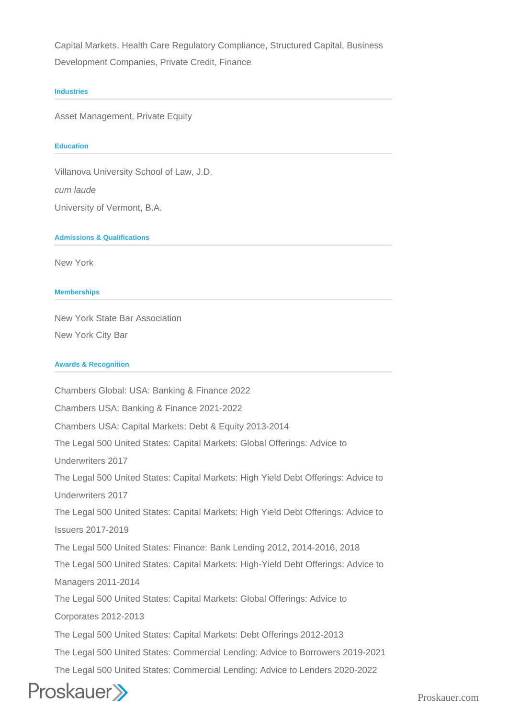Capital Markets, Health Care Regulatory Compliance, Structured Capital, Business Development Companies, Private Credit, Finance

#### **Industries**

Asset Management, Private Equity

#### **Education**

Villanova University School of Law, J.D.

cum laude

University of Vermont, B.A.

**Admissions & Qualifications**

New York

**Memberships**

New York State Bar Association New York City Bar

### **Awards & Recognition**

Chambers Global: USA: Banking & Finance 2022 Chambers USA: Banking & Finance 2021-2022 Chambers USA: Capital Markets: Debt & Equity 2013-2014 The Legal 500 United States: Capital Markets: Global Offerings: Advice to Underwriters 2017 The Legal 500 United States: Capital Markets: High Yield Debt Offerings: Advice to Underwriters 2017 The Legal 500 United States: Capital Markets: High Yield Debt Offerings: Advice to Issuers 2017-2019 The Legal 500 United States: Finance: Bank Lending 2012, 2014-2016, 2018 The Legal 500 United States: Capital Markets: High-Yield Debt Offerings: Advice to Managers 2011-2014 The Legal 500 United States: Capital Markets: Global Offerings: Advice to Corporates 2012-2013 The Legal 500 United States: Capital Markets: Debt Offerings 2012-2013 The Legal 500 United States: Commercial Lending: Advice to Borrowers 2019-2021 The Legal 500 United States: Commercial Lending: Advice to Lenders 2020-2022